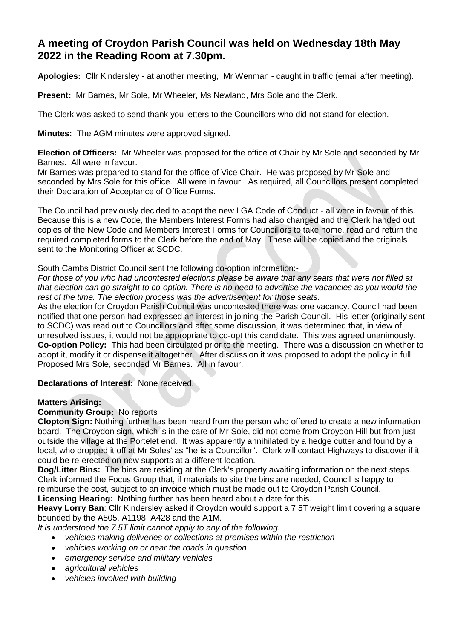# **A meeting of Croydon Parish Council was held on Wednesday 18th May 2022 in the Reading Room at 7.30pm.**

**Apologies:** Cllr Kindersley - at another meeting, Mr Wenman - caught in traffic (email after meeting).

**Present:** Mr Barnes, Mr Sole, Mr Wheeler, Ms Newland, Mrs Sole and the Clerk.

The Clerk was asked to send thank you letters to the Councillors who did not stand for election.

**Minutes:** The AGM minutes were approved signed.

**Election of Officers:** Mr Wheeler was proposed for the office of Chair by Mr Sole and seconded by Mr Barnes. All were in favour.

Mr Barnes was prepared to stand for the office of Vice Chair. He was proposed by Mr Sole and seconded by Mrs Sole for this office. All were in favour. As required, all Councillors present completed their Declaration of Acceptance of Office Forms.

The Council had previously decided to adopt the new LGA Code of Conduct - all were in favour of this. Because this is a new Code, the Members Interest Forms had also changed and the Clerk handed out copies of the New Code and Members Interest Forms for Councillors to take home, read and return the required completed forms to the Clerk before the end of May. These will be copied and the originals sent to the Monitoring Officer at SCDC.

South Cambs District Council sent the following co-option information:-

*For those of you who had uncontested elections please be aware that any seats that were not filled at that election can go straight to co-option. There is no need to advertise the vacancies as you would the rest of the time. The election process was the advertisement for those seats.*

As the election for Croydon Parish Council was uncontested there was one vacancy. Council had been notified that one person had expressed an interest in joining the Parish Council. His letter (originally sent to SCDC) was read out to Councillors and after some discussion, it was determined that, in view of unresolved issues, it would not be appropriate to co-opt this candidate. This was agreed unanimously. **Co-option Policy:** This had been circulated prior to the meeting. There was a discussion on whether to adopt it, modify it or dispense it altogether. After discussion it was proposed to adopt the policy in full. Proposed Mrs Sole, seconded Mr Barnes. All in favour.

**Declarations of Interest:** None received.

## **Matters Arising:**

## **Community Group:** No reports

**Clopton Sign:** Nothing further has been heard from the person who offered to create a new information board. The Croydon sign, which is in the care of Mr Sole, did not come from Croydon Hill but from just outside the village at the Portelet end. It was apparently annihilated by a hedge cutter and found by a local, who dropped it off at Mr Soles' as "he is a Councillor". Clerk will contact Highways to discover if it could be re-erected on new supports at a different location.

**Dog/Litter Bins:** The bins are residing at the Clerk's property awaiting information on the next steps. Clerk informed the Focus Group that, if materials to site the bins are needed, Council is happy to reimburse the cost, subject to an invoice which must be made out to Croydon Parish Council. **Licensing Hearing:** Nothing further has been heard about a date for this.

**Heavy Lorry Ban**: Cllr Kindersley asked if Croydon would support a 7.5T weight limit covering a square bounded by the A505, A1198, A428 and the A1M.

*It is understood the 7.5T limit cannot apply to any of the following.*

- *vehicles making deliveries or collections at premises within the restriction*
- *vehicles working on or near the roads in question*
- *emergency service and military vehicles*
- *agricultural vehicles*
- *vehicles involved with building*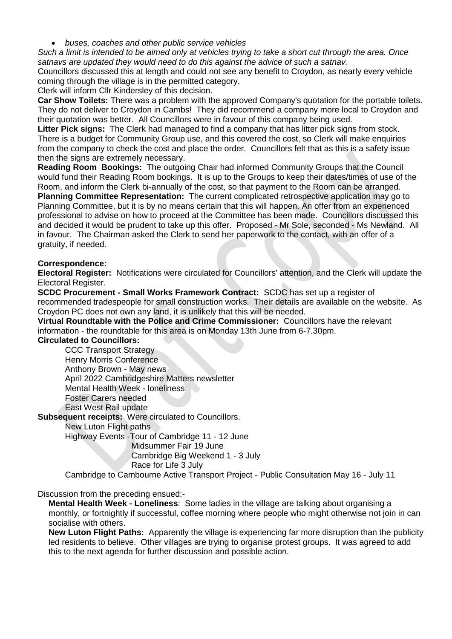*buses, coaches and other public service vehicles*

*Such a limit is intended to be aimed only at vehicles trying to take a short cut through the area. Once satnavs are updated they would need to do this against the advice of such a satnav.*

Councillors discussed this at length and could not see any benefit to Croydon, as nearly every vehicle coming through the village is in the permitted category.

Clerk will inform Cllr Kindersley of this decision.

**Car Show Toilets:** There was a problem with the approved Company's quotation for the portable toilets. They do not deliver to Croydon in Cambs! They did recommend a company more local to Croydon and their quotation was better. All Councillors were in favour of this company being used.

**Litter Pick signs:** The Clerk had managed to find a company that has litter pick signs from stock. There is a budget for Community Group use, and this covered the cost, so Clerk will make enquiries from the company to check the cost and place the order. Councillors felt that as this is a safety issue then the signs are extremely necessary.

**Reading Room Bookings:** The outgoing Chair had informed Community Groups that the Council would fund their Reading Room bookings. It is up to the Groups to keep their dates/times of use of the Room, and inform the Clerk bi-annually of the cost, so that payment to the Room can be arranged.

**Planning Committee Representation:** The current complicated retrospective application may go to Planning Committee, but it is by no means certain that this will happen. An offer from an experienced professional to advise on how to proceed at the Committee has been made. Councillors discussed this and decided it would be prudent to take up this offer. Proposed - Mr Sole, seconded - Ms Newland. All in favour. The Chairman asked the Clerk to send her paperwork to the contact, with an offer of a gratuity, if needed.

#### **Correspondence:**

**Electoral Register:** Notifications were circulated for Councillors' attention, and the Clerk will update the Electoral Register.

**SCDC Procurement - Small Works Framework Contract:** SCDC has set up a register of recommended tradespeople for small construction works. Their details are available on the website. As Croydon PC does not own any land, it is unlikely that this will be needed.

**Virtual Roundtable with the Police and Crime Commissioner:** Councillors have the relevant information - the roundtable for this area is on Monday 13th June from 6-7.30pm.

#### **Circulated to Councillors:**

CCC Transport Strategy Henry Morris Conference Anthony Brown - May news April 2022 Cambridgeshire Matters newsletter Mental Health Week - loneliness Foster Carers needed East West Rail update

**Subsequent receipts:** Were circulated to Councillors.

New Luton Flight paths

Highway Events -Tour of Cambridge 11 - 12 June

 Midsummer Fair 19 June Cambridge Big Weekend 1 - 3 July

Race for Life 3 July

Cambridge to Cambourne Active Transport Project - Public Consultation May 16 - July 11

Discussion from the preceding ensued:-

**Mental Health Week - Loneliness**: Some ladies in the village are talking about organising a monthly, or fortnightly if successful, coffee morning where people who might otherwise not join in can socialise with others.

**New Luton Flight Paths:** Apparently the village is experiencing far more disruption than the publicity led residents to believe. Other villages are trying to organise protest groups. It was agreed to add this to the next agenda for further discussion and possible action.